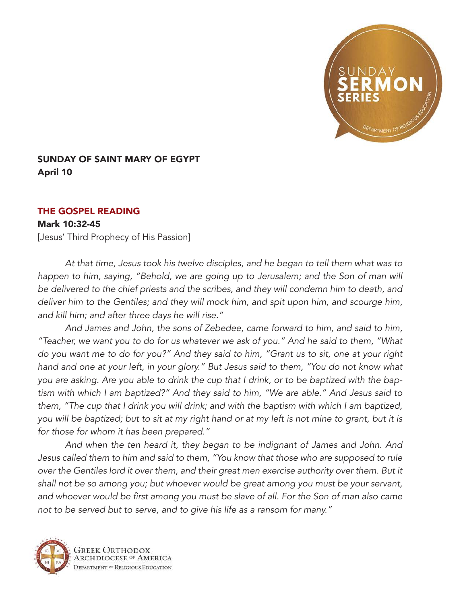

## SUNDAY OF SAINT MARY OF EGYPT April 10

## THE GOSPEL READING

## Mark 10:32-45

[Jesus' Third Prophecy of His Passion]

*At that time, Jesus took his twelve disciples, and he began to tell them what was to happen to him, saying, "Behold, we are going up to Jerusalem; and the Son of man will be delivered to the chief priests and the scribes, and they will condemn him to death, and deliver him to the Gentiles; and they will mock him, and spit upon him, and scourge him, and kill him; and after three days he will rise."* 

*And James and John, the sons of Zebedee, came forward to him, and said to him, "Teacher, we want you to do for us whatever we ask of you." And he said to them, "What do you want me to do for you?" And they said to him, "Grant us to sit, one at your right hand and one at your left, in your glory." But Jesus said to them, "You do not know what you are asking. Are you able to drink the cup that I drink, or to be baptized with the baptism with which I am baptized?" And they said to him, "We are able." And Jesus said to them, "The cup that I drink you will drink; and with the baptism with which I am baptized, you will be baptized; but to sit at my right hand or at my left is not mine to grant, but it is for those for whom it has been prepared."* 

*And when the ten heard it, they began to be indignant of James and John. And Jesus called them to him and said to them, "You know that those who are supposed to rule over the Gentiles lord it over them, and their great men exercise authority over them. But it shall not be so among you; but whoever would be great among you must be your servant,*  and whoever would be first among you must be slave of all. For the Son of man also came *not to be served but to serve, and to give his life as a ransom for many."*



GREEK ORTHODOX RCHDIOCESE OF AMERICA DEPARTMENT OF RELIGIOUS EDUCATION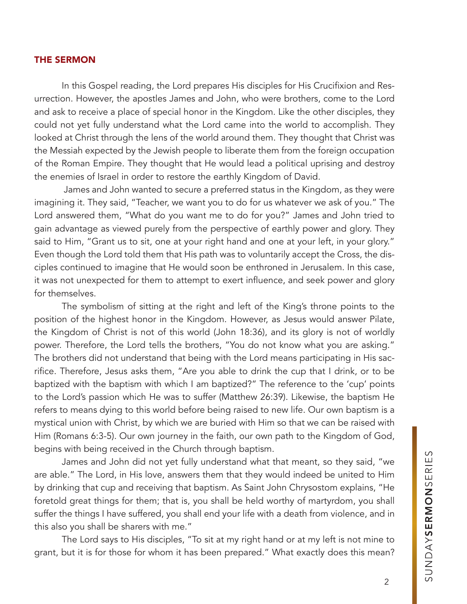## THE SERMON

In this Gospel reading, the Lord prepares His disciples for His Crucifixion and Resurrection. However, the apostles James and John, who were brothers, come to the Lord and ask to receive a place of special honor in the Kingdom. Like the other disciples, they could not yet fully understand what the Lord came into the world to accomplish. They looked at Christ through the lens of the world around them. They thought that Christ was the Messiah expected by the Jewish people to liberate them from the foreign occupation of the Roman Empire. They thought that He would lead a political uprising and destroy the enemies of Israel in order to restore the earthly Kingdom of David.

 James and John wanted to secure a preferred status in the Kingdom, as they were imagining it. They said, "Teacher, we want you to do for us whatever we ask of you." The Lord answered them, "What do you want me to do for you?" James and John tried to gain advantage as viewed purely from the perspective of earthly power and glory. They said to Him, "Grant us to sit, one at your right hand and one at your left, in your glory." Even though the Lord told them that His path was to voluntarily accept the Cross, the disciples continued to imagine that He would soon be enthroned in Jerusalem. In this case, it was not unexpected for them to attempt to exert influence, and seek power and glory for themselves.

The symbolism of sitting at the right and left of the King's throne points to the position of the highest honor in the Kingdom. However, as Jesus would answer Pilate, the Kingdom of Christ is not of this world (John 18:36), and its glory is not of worldly power. Therefore, the Lord tells the brothers, "You do not know what you are asking." The brothers did not understand that being with the Lord means participating in His sacrifice. Therefore, Jesus asks them, "Are you able to drink the cup that I drink, or to be baptized with the baptism with which I am baptized?" The reference to the 'cup' points to the Lord's passion which He was to suffer (Matthew 26:39). Likewise, the baptism He refers to means dying to this world before being raised to new life. Our own baptism is a mystical union with Christ, by which we are buried with Him so that we can be raised with Him (Romans 6:3-5). Our own journey in the faith, our own path to the Kingdom of God, begins with being received in the Church through baptism.

James and John did not yet fully understand what that meant, so they said, "we are able." The Lord, in His love, answers them that they would indeed be united to Him by drinking that cup and receiving that baptism. As Saint John Chrysostom explains, "He foretold great things for them; that is, you shall be held worthy of martyrdom, you shall suffer the things I have suffered, you shall end your life with a death from violence, and in this also you shall be sharers with me."

The Lord says to His disciples, "To sit at my right hand or at my left is not mine to grant, but it is for those for whom it has been prepared." What exactly does this mean?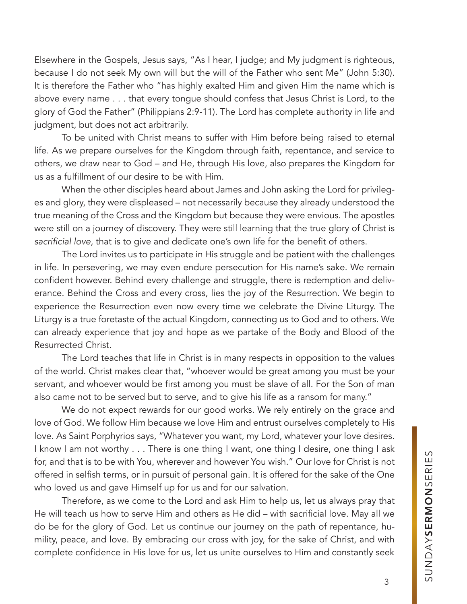Elsewhere in the Gospels, Jesus says, "As I hear, I judge; and My judgment is righteous, because I do not seek My own will but the will of the Father who sent Me" (John 5:30). It is therefore the Father who "has highly exalted Him and given Him the name which is above every name . . . that every tongue should confess that Jesus Christ is Lord, to the glory of God the Father" (Philippians 2:9-11). The Lord has complete authority in life and judgment, but does not act arbitrarily.

To be united with Christ means to suffer with Him before being raised to eternal life. As we prepare ourselves for the Kingdom through faith, repentance, and service to others, we draw near to God – and He, through His love, also prepares the Kingdom for us as a fulfillment of our desire to be with Him.

When the other disciples heard about James and John asking the Lord for privileges and glory, they were displeased – not necessarily because they already understood the true meaning of the Cross and the Kingdom but because they were envious. The apostles were still on a journey of discovery. They were still learning that the true glory of Christ is sacrificial love, that is to give and dedicate one's own life for the benefit of others.

The Lord invites us to participate in His struggle and be patient with the challenges in life. In persevering, we may even endure persecution for His name's sake. We remain confident however. Behind every challenge and struggle, there is redemption and deliverance. Behind the Cross and every cross, lies the joy of the Resurrection. We begin to experience the Resurrection even now every time we celebrate the Divine Liturgy. The Liturgy is a true foretaste of the actual Kingdom, connecting us to God and to others. We can already experience that joy and hope as we partake of the Body and Blood of the Resurrected Christ.

The Lord teaches that life in Christ is in many respects in opposition to the values of the world. Christ makes clear that, "whoever would be great among you must be your servant, and whoever would be first among you must be slave of all. For the Son of man also came not to be served but to serve, and to give his life as a ransom for many."

We do not expect rewards for our good works. We rely entirely on the grace and love of God. We follow Him because we love Him and entrust ourselves completely to His love. As Saint Porphyrios says, "Whatever you want, my Lord, whatever your love desires. I know I am not worthy . . . There is one thing I want, one thing I desire, one thing I ask for, and that is to be with You, wherever and however You wish." Our love for Christ is not offered in selfish terms, or in pursuit of personal gain. It is offered for the sake of the One who loved us and gave Himself up for us and for our salvation.

Therefore, as we come to the Lord and ask Him to help us, let us always pray that He will teach us how to serve Him and others as He did – with sacrificial love. May all we do be for the glory of God. Let us continue our journey on the path of repentance, humility, peace, and love. By embracing our cross with joy, for the sake of Christ, and with complete confidence in His love for us, let us unite ourselves to Him and constantly seek